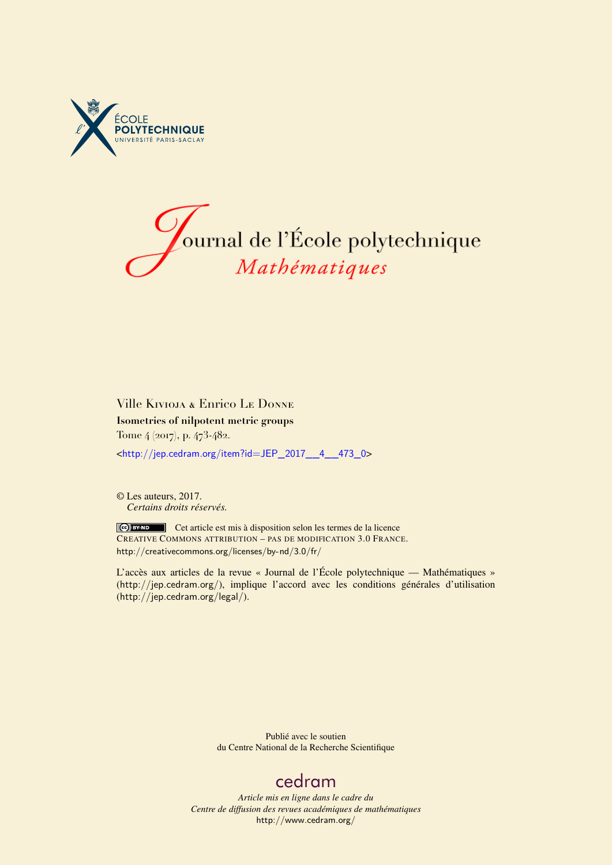



# Ville Kivioja & Enrico Le Donne **Isometries of nilpotent metric groups** Tome 4 (2017), p. 473-482. <[http://jep.cedram.org/item?id=JEP\\_2017\\_\\_4\\_\\_473\\_0](http://jep.cedram.org/item?id=JEP_2017__4__473_0)>

© Les auteurs, 2017. *Certains droits réservés.*

Cet article est mis à disposition selon les termes de la licence CREATIVE COMMONS ATTRIBUTION – PAS DE MODIFICATION 3.0 FRANCE. <http://creativecommons.org/licenses/by-nd/3.0/fr/>

L'accès aux articles de la revue « Journal de l'École polytechnique — Mathématiques » (<http://jep.cedram.org/>), implique l'accord avec les conditions générales d'utilisation (<http://jep.cedram.org/legal/>).

> Publié avec le soutien du Centre National de la Recherche Scientifique

# [cedram](http://www.cedram.org/)

*Article mis en ligne dans le cadre du Centre de diffusion des revues académiques de mathématiques* <http://www.cedram.org/>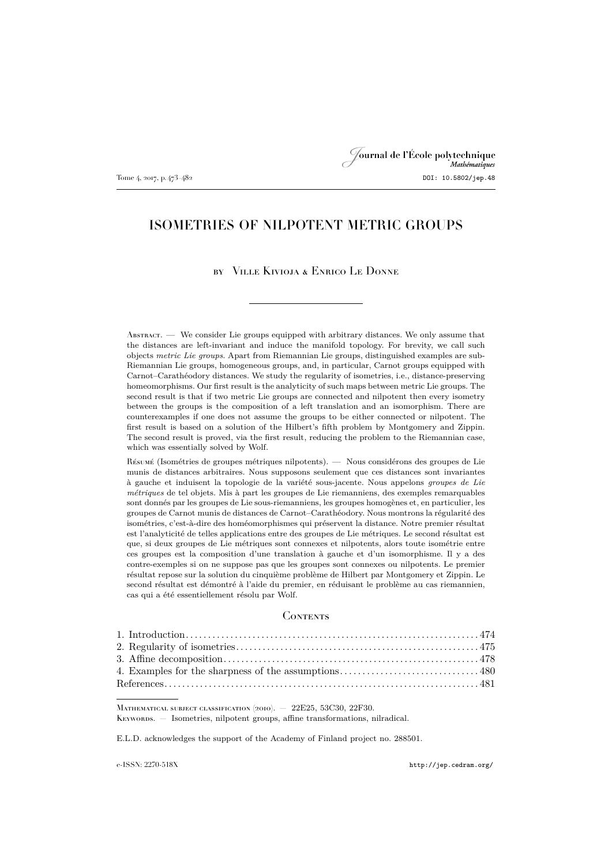# Journal de l'École polytechnique Tome 4, 2017, p. 473–482 **DOI: 10.5802/jep.48**

# ISOMETRIES OF NILPOTENT METRIC GROUPS

### by Ville Kivioja & Enrico Le Donne

 $\Lambda_{\text{BSTRACT}}$ . We consider Lie groups equipped with arbitrary distances. We only assume that the distances are left-invariant and induce the manifold topology. For brevity, we call such objects *metric Lie groups*. Apart from Riemannian Lie groups, distinguished examples are sub-Riemannian Lie groups, homogeneous groups, and, in particular, Carnot groups equipped with Carnot–Carathéodory distances. We study the regularity of isometries, i.e., distance-preserving homeomorphisms. Our first result is the analyticity of such maps between metric Lie groups. The second result is that if two metric Lie groups are connected and nilpotent then every isometry between the groups is the composition of a left translation and an isomorphism. There are counterexamples if one does not assume the groups to be either connected or nilpotent. The first result is based on a solution of the Hilbert's fifth problem by Montgomery and Zippin. The second result is proved, via the first result, reducing the problem to the Riemannian case, which was essentially solved by Wolf.

Résumé (Isométries de groupes métriques nilpotents). — Nous considérons des groupes de Lie munis de distances arbitraires. Nous supposons seulement que ces distances sont invariantes à gauche et induisent la topologie de la variété sous-jacente. Nous appelons *groupes de Lie métriques* de tel objets. Mis à part les groupes de Lie riemanniens, des exemples remarquables sont donnés par les groupes de Lie sous-riemanniens, les groupes homogènes et, en particulier, les groupes de Carnot munis de distances de Carnot–Carathéodory. Nous montrons la régularité des isométries, c'est-à-dire des homéomorphismes qui préservent la distance. Notre premier résultat est l'analyticité de telles applications entre des groupes de Lie métriques. Le second résultat est que, si deux groupes de Lie métriques sont connexes et nilpotents, alors toute isométrie entre ces groupes est la composition d'une translation à gauche et d'un isomorphisme. Il y a des contre-exemples si on ne suppose pas que les groupes sont connexes ou nilpotents. Le premier résultat repose sur la solution du cinquième problème de Hilbert par Montgomery et Zippin. Le second résultat est démontré à l'aide du premier, en réduisant le problème au cas riemannien, cas qui a été essentiellement résolu par Wolf.

#### **CONTENTS**

MATHEMATICAL SUBJECT CLASSIFICATION (2010). - 22E25, 53C30, 22F30. Keywords. — Isometries, nilpotent groups, affine transformations, nilradical.

E.L.D. acknowledges the support of the Academy of Finland project no. 288501.

e-ISSN: 2270-518X <http://jep.cedram.org/>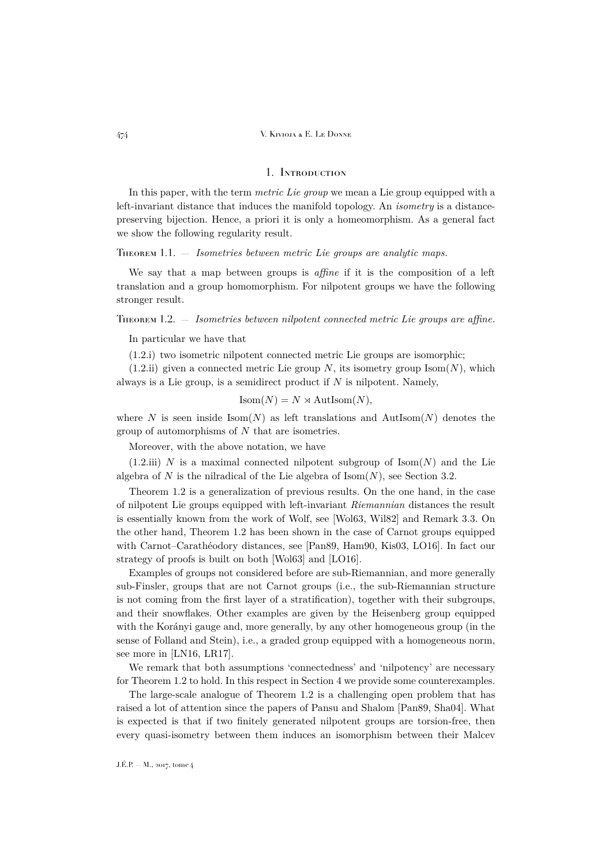## 1. Introduction

<span id="page-2-0"></span>In this paper, with the term *metric Lie group* we mean a Lie group equipped with a left-invariant distance that induces the manifold topology. An *isometry* is a distancepreserving bijection. Hence, a priori it is only a homeomorphism. As a general fact we show the following regularity result.

<span id="page-2-2"></span>Theorem 1.1. — *Isometries between metric Lie groups are analytic maps.*

We say that a map between groups is *affine* if it is the composition of a left translation and a group homomorphism. For nilpotent groups we have the following stronger result.

<span id="page-2-1"></span>Theorem 1.2. — *Isometries between nilpotent connected metric Lie groups are affine.*

In particular we have that

<span id="page-2-3"></span>(1.2.i) two isometric nilpotent connected metric Lie groups are isomorphic;

<span id="page-2-4"></span> $(1.2.ii)$  given a connected metric Lie group N, its isometry group Isom $(N)$ , which always is a Lie group, is a semidirect product if  $N$  is nilpotent. Namely,

$$
Isom(N) = N \rtimes \text{AutIsom}(N),
$$

where N is seen inside Isom(N) as left translations and AutIsom(N) denotes the group of automorphisms of N that are isometries.

Moreover, with the above notation, we have

<span id="page-2-5"></span> $(1.2.iii)$  N is a maximal connected nilpotent subgroup of Isom $(N)$  and the Lie algebra of N is the nilradical of the Lie algebra of  $\text{Isom}(N)$ , see Section [3.2.](#page-7-0)

Theorem [1.2](#page-2-1) is a generalization of previous results. On the one hand, in the case of nilpotent Lie groups equipped with left-invariant *Riemannian* distances the result is essentially known from the work of Wolf, see [\[Wol63,](#page-10-0) [Wil82\]](#page-10-1) and Remark [3.3.](#page-7-1) On the other hand, Theorem [1.2](#page-2-1) has been shown in the case of Carnot groups equipped with Carnot–Carathéodory distances, see [\[Pan89,](#page-10-2) [Ham90,](#page-10-3) [Kis03,](#page-10-4) [LO16\]](#page-10-5). In fact our strategy of proofs is built on both [\[Wol63\]](#page-10-0) and [\[LO16\]](#page-10-5).

Examples of groups not considered before are sub-Riemannian, and more generally sub-Finsler, groups that are not Carnot groups (i.e., the sub-Riemannian structure is not coming from the first layer of a stratification), together with their subgroups, and their snowflakes. Other examples are given by the Heisenberg group equipped with the Korányi gauge and, more generally, by any other homogeneous group (in the sense of Folland and Stein), i.e., a graded group equipped with a homogeneous norm, see more in [\[LN16,](#page-10-6) [LR17\]](#page-10-7).

We remark that both assumptions 'connectedness' and 'nilpotency' are necessary for Theorem [1.2](#page-2-1) to hold. In this respect in Section [4](#page-8-0) we provide some counterexamples.

The large-scale analogue of Theorem [1.2](#page-2-1) is a challenging open problem that has raised a lot of attention since the papers of Pansu and Shalom [\[Pan89,](#page-10-2) [Sha04\]](#page-10-8). What is expected is that if two finitely generated nilpotent groups are torsion-free, then every quasi-isometry between them induces an isomorphism between their Malcev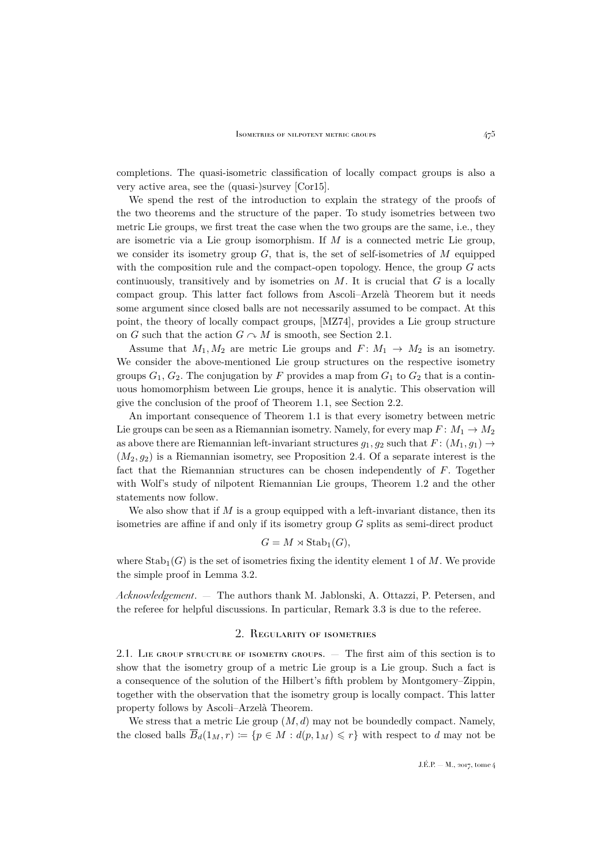completions. The quasi-isometric classification of locally compact groups is also a very active area, see the (quasi-)survey [\[Cor15\]](#page-9-1).

We spend the rest of the introduction to explain the strategy of the proofs of the two theorems and the structure of the paper. To study isometries between two metric Lie groups, we first treat the case when the two groups are the same, i.e., they are isometric via a Lie group isomorphism. If M is a connected metric Lie group, we consider its isometry group  $G$ , that is, the set of self-isometries of  $M$  equipped with the composition rule and the compact-open topology. Hence, the group  $G$  acts continuously, transitively and by isometries on  $M$ . It is crucial that  $G$  is a locally compact group. This latter fact follows from Ascoli–Arzelà Theorem but it needs some argument since closed balls are not necessarily assumed to be compact. At this point, the theory of locally compact groups, [\[MZ74\]](#page-10-9), provides a Lie group structure on G such that the action  $G \cap M$  is smooth, see Section [2.1.](#page-3-1)

Assume that  $M_1, M_2$  are metric Lie groups and  $F: M_1 \rightarrow M_2$  is an isometry. We consider the above-mentioned Lie group structures on the respective isometry groups  $G_1, G_2$ . The conjugation by F provides a map from  $G_1$  to  $G_2$  that is a continuous homomorphism between Lie groups, hence it is analytic. This observation will give the conclusion of the proof of Theorem [1.1,](#page-2-2) see Section [2.2.](#page-4-0)

An important consequence of Theorem [1.1](#page-2-2) is that every isometry between metric Lie groups can be seen as a Riemannian isometry. Namely, for every map  $F: M_1 \to M_2$ as above there are Riemannian left-invariant structures  $g_1, g_2$  such that  $F: (M_1, g_1) \rightarrow$  $(M_2, g_2)$  is a Riemannian isometry, see Proposition [2.4.](#page-5-0) Of a separate interest is the fact that the Riemannian structures can be chosen independently of F. Together with Wolf's study of nilpotent Riemannian Lie groups, Theorem [1.2](#page-2-1) and the other statements now follow.

We also show that if  $M$  is a group equipped with a left-invariant distance, then its isometries are affine if and only if its isometry group G splits as semi-direct product

$$
G = M \rtimes \text{Stab}_1(G),
$$

where  $\text{Stab}_1(G)$  is the set of isometries fixing the identity element 1 of M. We provide the simple proof in Lemma [3.2.](#page-6-1)

*Acknowledgement*. — The authors thank M. Jablonski, A. Ottazzi, P. Petersen, and the referee for helpful discussions. In particular, Remark [3.3](#page-7-1) is due to the referee.

### 2. Regularity of isometries

<span id="page-3-1"></span><span id="page-3-0"></span>2.1. LIE GROUP STRUCTURE OF ISOMETRY GROUPS. — The first aim of this section is to show that the isometry group of a metric Lie group is a Lie group. Such a fact is a consequence of the solution of the Hilbert's fifth problem by Montgomery–Zippin, together with the observation that the isometry group is locally compact. This latter property follows by Ascoli–Arzelà Theorem.

We stress that a metric Lie group  $(M, d)$  may not be boundedly compact. Namely, the closed balls  $\overline{B}_d(1_M, r) := \{p \in M : d(p, 1_M) \leq r\}$  with respect to d may not be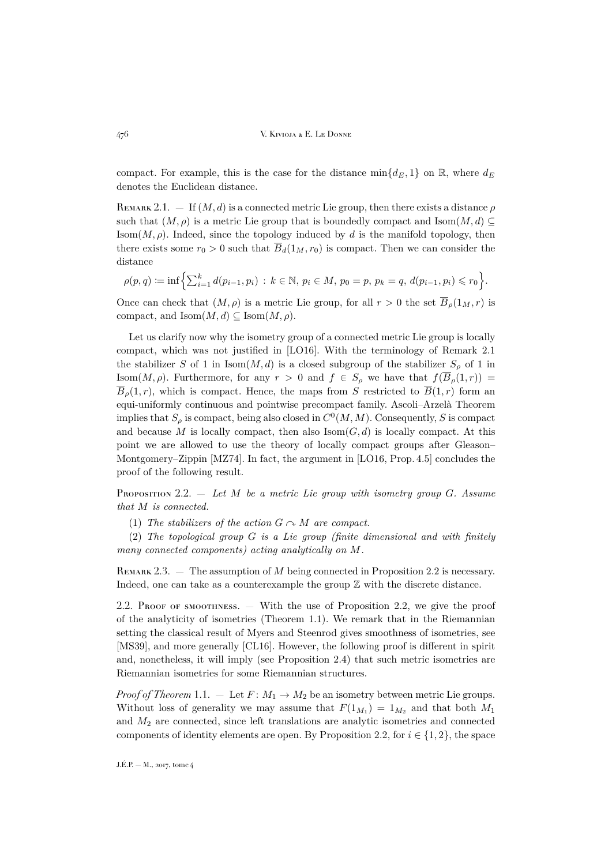compact. For example, this is the case for the distance  $\min\{d_E, 1\}$  on R, where  $d_E$ denotes the Euclidean distance.

<span id="page-4-1"></span>REMARK 2.1.  $-$  If  $(M, d)$  is a connected metric Lie group, then there exists a distance  $\rho$ such that  $(M, \rho)$  is a metric Lie group that is boundedly compact and Isom $(M, d)$  $\text{Isom}(M, \rho)$ . Indeed, since the topology induced by d is the manifold topology, then there exists some  $r_0 > 0$  such that  $\overline{B}_d(1_M, r_0)$  is compact. Then we can consider the distance

$$
\rho(p,q) := \inf \left\{ \sum_{i=1}^k d(p_{i-1}, p_i) : k \in \mathbb{N}, \, p_i \in M, \, p_0 = p, \, p_k = q, \, d(p_{i-1}, p_i) \leq r_0 \right\}.
$$

Once can check that  $(M, \rho)$  is a metric Lie group, for all  $r > 0$  the set  $\overline{B}_o(1_M, r)$  is compact, and  $\text{Isom}(M, d) \subseteq \text{Isom}(M, \rho)$ .

Let us clarify now why the isometry group of a connected metric Lie group is locally compact, which was not justified in [\[LO16\]](#page-10-5). With the terminology of Remark [2.1](#page-4-1) the stabilizer S of 1 in Isom $(M, d)$  is a closed subgroup of the stabilizer  $S_\rho$  of 1 in Isom $(M, \rho)$ . Furthermore, for any  $r > 0$  and  $f \in S_\rho$  we have that  $f(\overline{B}_\rho(1,r)) =$  $\overline{B}_o(1,r)$ , which is compact. Hence, the maps from S restricted to  $\overline{B}(1,r)$  form an equi-uniformly continuous and pointwise precompact family. Ascoli–Arzelà Theorem implies that  $S_\rho$  is compact, being also closed in  $C^0(M,M)$ . Consequently, S is compact and because M is locally compact, then also  $\text{Isom}(G, d)$  is locally compact. At this point we are allowed to use the theory of locally compact groups after Gleason– Montgomery–Zippin [\[MZ74\]](#page-10-9). In fact, the argument in [\[LO16,](#page-10-5) Prop. 4.5] concludes the proof of the following result.

<span id="page-4-2"></span>Proposition 2.2. — *Let* M *be a metric Lie group with isometry group* G*. Assume that* M *is connected.*

(1) The stabilizers of the action  $G \cap M$  are compact.

(2) *The topological group* G *is a Lie group (finite dimensional and with finitely many connected components) acting analytically on* M*.*

REMARK 2.3.  $-$  The assumption of M being connected in Proposition [2.2](#page-4-2) is necessary. Indeed, one can take as a counterexample the group  $\mathbb Z$  with the discrete distance.

<span id="page-4-0"></span>2.2. Proof of smoothness.  $-$  With the use of Proposition [2.2,](#page-4-2) we give the proof of the analyticity of isometries (Theorem [1.1\)](#page-2-2). We remark that in the Riemannian setting the classical result of Myers and Steenrod gives smoothness of isometries, see [\[MS39\]](#page-10-10), and more generally [\[CL16\]](#page-9-2). However, the following proof is different in spirit and, nonetheless, it will imply (see Proposition [2.4\)](#page-5-0) that such metric isometries are Riemannian isometries for some Riemannian structures.

*Proof of Theorem* [1.1.](#page-2-2)  $\qquad \text{Let } F \colon M_1 \to M_2$  be an isometry between metric Lie groups. Without loss of generality we may assume that  $F(1_{M_1}) = 1_{M_2}$  and that both  $M_1$ and  $M_2$  are connected, since left translations are analytic isometries and connected components of identity elements are open. By Proposition [2.2,](#page-4-2) for  $i \in \{1, 2\}$ , the space

J.É.P. — M., 2017, tome 4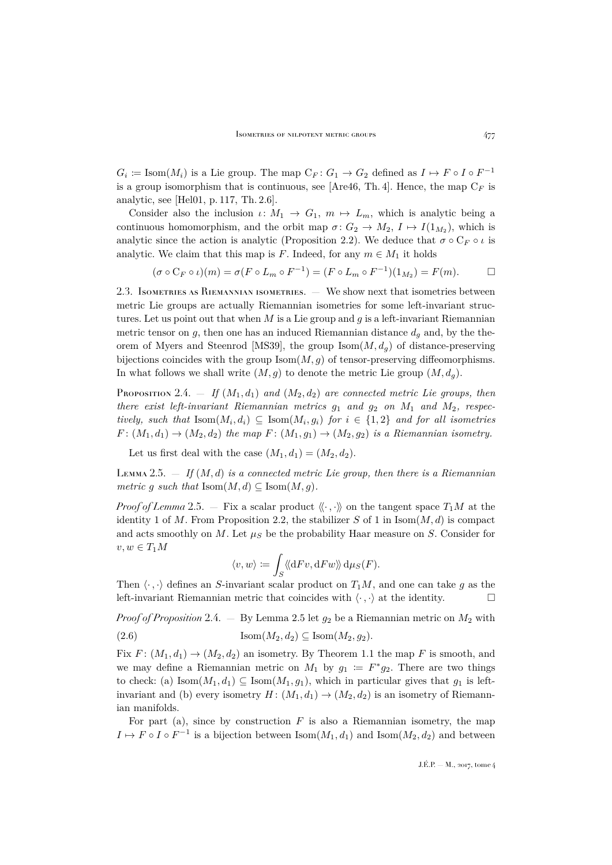$G_i \coloneqq \text{Isom}(M_i)$  is a Lie group. The map  $\mathbb{C}_F: G_1 \to G_2$  defined as  $I \mapsto F \circ I \circ F^{-1}$ is a group isomorphism that is continuous, see [\[Are46,](#page-9-3) Th. 4]. Hence, the map  $C_F$  is analytic, see [\[Hel01,](#page-10-11) p. 117, Th. 2.6].

Consider also the inclusion  $\iota: M_1 \to G_1, m \mapsto L_m$ , which is analytic being a continuous homomorphism, and the orbit map  $\sigma: G_2 \to M_2$ ,  $I \mapsto I(1_{M_2})$ , which is analytic since the action is analytic (Proposition [2.2\)](#page-4-2). We deduce that  $\sigma \circ C_F \circ \iota$  is analytic. We claim that this map is F. Indeed, for any  $m \in M_1$  it holds

$$
(\sigma \circ C_F \circ \iota)(m) = \sigma(F \circ L_m \circ F^{-1}) = (F \circ L_m \circ F^{-1})(1_{M_2}) = F(m).
$$

2.3. Isometries as Riemannian isometries. — We show next that isometries between metric Lie groups are actually Riemannian isometries for some left-invariant structures. Let us point out that when  $M$  is a Lie group and  $g$  is a left-invariant Riemannian metric tensor on  $g$ , then one has an induced Riemannian distance  $d<sub>g</sub>$  and, by the the-orem of Myers and Steenrod [\[MS39\]](#page-10-10), the group  $\text{Isom}(M, d_q)$  of distance-preserving bijections coincides with the group  $\text{Isom}(M, g)$  of tensor-preserving diffeomorphisms. In what follows we shall write  $(M, g)$  to denote the metric Lie group  $(M, d_g)$ .

<span id="page-5-0"></span>PROPOSITION 2.4.  $\equiv$  *If*  $(M_1, d_1)$  *and*  $(M_2, d_2)$  *are connected metric Lie groups, then there exist left-invariant Riemannian metrics*  $g_1$  *and*  $g_2$  *on*  $M_1$  *and*  $M_2$ *, respectively, such that*  $\text{Isom}(M_i, d_i) \subseteq \text{Isom}(M_i, g_i)$  *for*  $i \in \{1, 2\}$  *and for all isometries*  $F: (M_1, d_1) \rightarrow (M_2, d_2)$  *the map*  $F: (M_1, g_1) \rightarrow (M_2, g_2)$  *is a Riemannian isometry.* 

Let us first deal with the case  $(M_1, d_1) = (M_2, d_2)$ .

<span id="page-5-1"></span>Lemma 2.5.  $\equiv$  *If*  $(M, d)$  *is a connected metric Lie group, then there is a Riemannian metric* g *such that*  $\text{Isom}(M, d) \subseteq \text{Isom}(M, g)$ .

*Proof of Lemma* [2.5.](#page-5-1) — Fix a scalar product  $\langle \cdot, \cdot \rangle$  on the tangent space  $T_1M$  at the identity 1 of M. From Proposition [2.2,](#page-4-2) the stabilizer S of 1 in  $\text{Isom}(M, d)$  is compact and acts smoothly on M. Let  $\mu_S$  be the probability Haar measure on S. Consider for  $v, w \in T_1M$ 

<span id="page-5-2"></span>
$$
\langle v, w \rangle \coloneqq \int_S \langle \! \langle \mathrm{d} Fv, \mathrm{d} Fw \rangle \! \rangle \, \mathrm{d} \mu_S(F).
$$

Then  $\langle \cdot, \cdot \rangle$  defines an S-invariant scalar product on  $T_1M$ , and one can take g as the left-invariant Riemannian metric that coincides with  $\langle \cdot, \cdot \rangle$  at the identity.

*Proof of Proposition* [2.4.](#page-5-0) — By Lemma [2.5](#page-5-1) let  $g_2$  be a Riemannian metric on  $M_2$  with (2.6)  $\text{Isom}(M_2, d_2) \subseteq \text{Isom}(M_2, q_2).$ 

Fix  $F: (M_1, d_1) \to (M_2, d_2)$  an isometry. By Theorem [1.1](#page-2-2) the map F is smooth, and we may define a Riemannian metric on  $M_1$  by  $g_1 := F^* g_2$ . There are two things to check: (a)  $\text{Isom}(M_1, d_1) \subseteq \text{Isom}(M_1, g_1)$ , which in particular gives that  $g_1$  is leftinvariant and (b) every isometry  $H: (M_1, d_1) \to (M_2, d_2)$  is an isometry of Riemannian manifolds.

For part (a), since by construction  $F$  is also a Riemannian isometry, the map  $I \mapsto F \circ I \circ F^{-1}$  is a bijection between  $\text{Isom}(M_1, d_1)$  and  $\text{Isom}(M_2, d_2)$  and between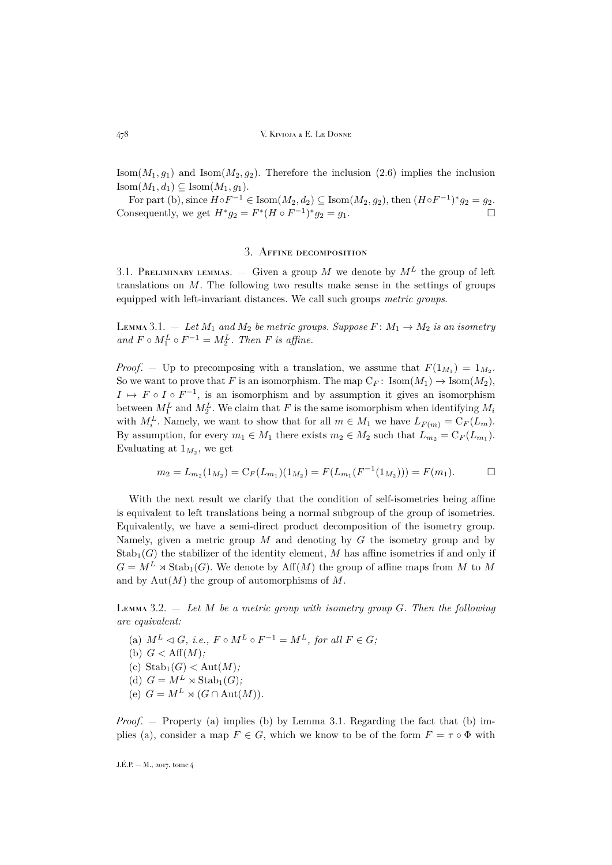Isom $(M_1, g_1)$  and Isom $(M_2, g_2)$ . Therefore the inclusion [\(2.6\)](#page-5-2) implies the inclusion  $\mathrm{Isom}(M_1, d_1) \subseteq \mathrm{Isom}(M_1, q_1).$ 

For part (b), since  $H \circ F^{-1} \in \text{Isom}(M_2, d_2) \subseteq \text{Isom}(M_2, g_2)$ , then  $(H \circ F^{-1})^* g_2 = g_2$ . Consequently, we get  $H^*g_2 = F^*(H \circ F^{-1})^*g_2 = g_1$ .

## 3. Affine decomposition

<span id="page-6-0"></span>3.1. PRELIMINARY LEMMAS.  $-$  Given a group M we denote by  $M<sup>L</sup>$  the group of left translations on  $M$ . The following two results make sense in the settings of groups equipped with left-invariant distances. We call such groups *metric groups*.

<span id="page-6-2"></span>LEMMA 3.1.  $-$  Let  $M_1$  and  $M_2$  be metric groups. Suppose  $F: M_1 \rightarrow M_2$  is an isometry and  $F \circ M_1^L \circ F^{-1} = M_2^L$ . Then *F* is affine.

*Proof.* – Up to precomposing with a translation, we assume that  $F(1_{M_1}) = 1_{M_2}$ . So we want to prove that F is an isomorphism. The map  $C_F$ : Isom $(M_1) \to \text{Isom}(M_2)$ ,  $I \mapsto F \circ I \circ F^{-1}$ , is an isomorphism and by assumption it gives an isomorphism between  $M_1^L$  and  $M_2^L$ . We claim that F is the same isomorphism when identifying  $M_i$ with  $M_i^L$ . Namely, we want to show that for all  $m \in M_1$  we have  $L_{F(m)} = C_F(L_m)$ . By assumption, for every  $m_1 \in M_1$  there exists  $m_2 \in M_2$  such that  $L_{m_2} = C_F(L_{m_1})$ . Evaluating at  $1_{M_2}$ , we get

$$
m_2 = L_{m_2}(1_{M_2}) = C_F(L_{m_1})(1_{M_2}) = F(L_{m_1}(F^{-1}(1_{M_2}))) = F(m_1).
$$

With the next result we clarify that the condition of self-isometries being affine is equivalent to left translations being a normal subgroup of the group of isometries. Equivalently, we have a semi-direct product decomposition of the isometry group. Namely, given a metric group  $M$  and denoting by  $G$  the isometry group and by  $\text{Stab}_1(G)$  the stabilizer of the identity element, M has affine isometries if and only if  $G = M^L \rtimes \text{Stab}_1(G)$ . We denote by  $\text{Aff}(M)$  the group of affine maps from M to M and by  $Aut(M)$  the group of automorphisms of  $M$ .

<span id="page-6-1"></span>Lemma 3.2. — *Let* M *be a metric group with isometry group* G*. Then the following are equivalent:*

(a)  $M^L \triangleleft G$ , *i.e.*,  $F \circ M^L \circ F^{-1} = M^L$ , for all  $F \in G$ ; (b)  $G < \text{Aff}(M)$ ; (c)  $\text{Stab}_1(G) < \text{Aut}(M)$ ; (d)  $G = M^L \rtimes \text{Stab}_1(G)$ ; (e)  $G = M^L \rtimes (G \cap \text{Aut}(M))$ .

*Proof.* — Property (a) implies (b) by Lemma [3.1.](#page-6-2) Regarding the fact that (b) implies (a), consider a map  $F \in G$ , which we know to be of the form  $F = \tau \circ \Phi$  with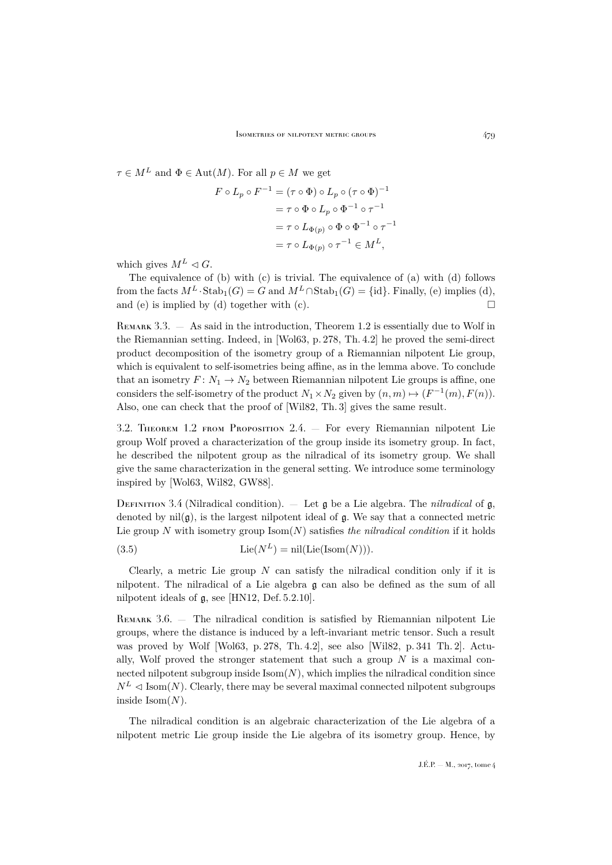$\tau \in M^L$  and  $\Phi \in \text{Aut}(M)$ . For all  $p \in M$  we get

$$
F \circ L_p \circ F^{-1} = (\tau \circ \Phi) \circ L_p \circ (\tau \circ \Phi)^{-1}
$$
  
=  $\tau \circ \Phi \circ L_p \circ \Phi^{-1} \circ \tau^{-1}$   
=  $\tau \circ L_{\Phi(p)} \circ \Phi \circ \Phi^{-1} \circ \tau^{-1}$   
=  $\tau \circ L_{\Phi(p)} \circ \tau^{-1} \in M^L$ ,

which gives  $M^L \lhd G$ .

The equivalence of (b) with (c) is trivial. The equivalence of (a) with (d) follows from the facts  $M^L \cdot \text{Stab}_1(G) = G$  and  $M^L \cap \text{Stab}_1(G) = \{id\}$ . Finally, (e) implies (d), and (e) is implied by (d) together with (c).  $\Box$ 

<span id="page-7-1"></span>REMARK 3.3.  $-$  As said in the introduction, Theorem [1.2](#page-2-1) is essentially due to Wolf in the Riemannian setting. Indeed, in [\[Wol63,](#page-10-0) p. 278, Th. 4.2] he proved the semi-direct product decomposition of the isometry group of a Riemannian nilpotent Lie group, which is equivalent to self-isometries being affine, as in the lemma above. To conclude that an isometry  $F: N_1 \to N_2$  between Riemannian nilpotent Lie groups is affine, one considers the self-isometry of the product  $N_1 \times N_2$  given by  $(n, m) \mapsto (F^{-1}(m), F(n))$ . Also, one can check that the proof of [\[Wil82,](#page-10-1) Th. 3] gives the same result.

<span id="page-7-0"></span>3.2. Theorem [1.2](#page-2-1) from Proposition [2.4.](#page-5-0) — For every Riemannian nilpotent Lie group Wolf proved a characterization of the group inside its isometry group. In fact, he described the nilpotent group as the nilradical of its isometry group. We shall give the same characterization in the general setting. We introduce some terminology inspired by [\[Wol63,](#page-10-0) [Wil82,](#page-10-1) [GW88\]](#page-10-12).

DEFINITION 3.4 (Nilradical condition).  $-$  Let  $\mathfrak g$  be a Lie algebra. The *nilradical* of  $\mathfrak g$ , denoted by  $nil(g)$ , is the largest nilpotent ideal of g. We say that a connected metric Lie group N with isometry group  $\text{Isom}(N)$  satisfies *the nilradical condition* if it holds

<span id="page-7-2"></span>(3.5) 
$$
\text{Lie}(N^L) = \text{nil}(\text{Lie}(\text{Isom}(N))).
$$

Clearly, a metric Lie group  $N$  can satisfy the nilradical condition only if it is nilpotent. The nilradical of a Lie algebra g can also be defined as the sum of all nilpotent ideals of g, see [\[HN12,](#page-10-13) Def. 5.2.10].

<span id="page-7-3"></span>REMARK 3.6. — The nilradical condition is satisfied by Riemannian nilpotent Lie groups, where the distance is induced by a left-invariant metric tensor. Such a result was proved by Wolf [\[Wol63,](#page-10-0) p. 278, Th. 4.2], see also [\[Wil82,](#page-10-1) p. 341 Th. 2]. Actually. Wolf proved the stronger statement that such a group  $N$  is a maximal connected nilpotent subgroup inside  $\text{Isom}(N)$ , which implies the nilradical condition since  $N^L \triangleleft \text{Isom}(N)$ . Clearly, there may be several maximal connected nilpotent subgroups inside  $\mathrm{Isom}(N)$ .

The nilradical condition is an algebraic characterization of the Lie algebra of a nilpotent metric Lie group inside the Lie algebra of its isometry group. Hence, by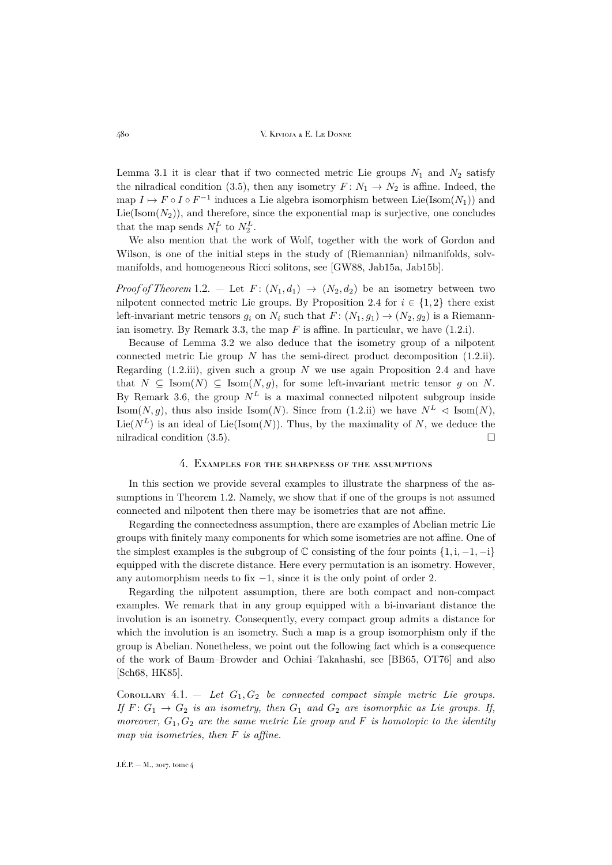Lemma [3.1](#page-6-2) it is clear that if two connected metric Lie groups  $N_1$  and  $N_2$  satisfy the nilradical condition [\(3.5\)](#page-7-2), then any isometry  $F: N_1 \to N_2$  is affine. Indeed, the map  $I \mapsto F \circ I \circ F^{-1}$  induces a Lie algebra isomorphism between Lie(Isom( $N_1$ )) and  $Lie(Isom(N_2))$ , and therefore, since the exponential map is surjective, one concludes that the map sends  $N_1^L$  to  $N_2^L$ .

We also mention that the work of Wolf, together with the work of Gordon and Wilson, is one of the initial steps in the study of (Riemannian) nilmanifolds, solvmanifolds, and homogeneous Ricci solitons, see [\[GW88,](#page-10-12) [Jab15a,](#page-10-14) [Jab15b\]](#page-10-15).

*Proof of Theorem* [1.2.](#page-2-1) – Let  $F: (N_1, d_1) \rightarrow (N_2, d_2)$  be an isometry between two nilpotent connected metric Lie groups. By Proposition [2.4](#page-5-0) for  $i \in \{1,2\}$  there exist left-invariant metric tensors  $g_i$  on  $N_i$  such that  $F: (N_1, g_1) \to (N_2, g_2)$  is a Riemann-ian isometry. By Remark [3.3,](#page-7-1) the map  $F$  is affine. In particular, we have  $(1.2.i)$ .

Because of Lemma [3.2](#page-6-1) we also deduce that the isometry group of a nilpotent connected metric Lie group  $N$  has the semi-direct product decomposition  $(1.2.ii)$ . Regarding  $(1.2.iii)$ , given such a group N we use again Proposition [2.4](#page-5-0) and have that  $N \subseteq \text{Isom}(N) \subseteq \text{Isom}(N, q)$ , for some left-invariant metric tensor q on N. By Remark [3.6,](#page-7-3) the group  $N^L$  is a maximal connected nilpotent subgroup inside Isom(N, q), thus also inside Isom(N). Since from [\(1.2.ii\)](#page-2-4) we have  $N^L \triangleleft \text{Isom}(N)$ , Lie( $N^L$ ) is an ideal of Lie(Isom(N)). Thus, by the maximality of N, we deduce the nilradical condition [\(3.5\)](#page-7-2).

#### 4. Examples for the sharpness of the assumptions

<span id="page-8-0"></span>In this section we provide several examples to illustrate the sharpness of the assumptions in Theorem [1.2.](#page-2-1) Namely, we show that if one of the groups is not assumed connected and nilpotent then there may be isometries that are not affine.

Regarding the connectedness assumption, there are examples of Abelian metric Lie groups with finitely many components for which some isometries are not affine. One of the simplest examples is the subgroup of  $\mathbb C$  consisting of the four points  $\{1, i, -1, -i\}$ equipped with the discrete distance. Here every permutation is an isometry. However, any automorphism needs to fix −1, since it is the only point of order 2.

Regarding the nilpotent assumption, there are both compact and non-compact examples. We remark that in any group equipped with a bi-invariant distance the involution is an isometry. Consequently, every compact group admits a distance for which the involution is an isometry. Such a map is a group isomorphism only if the group is Abelian. Nonetheless, we point out the following fact which is a consequence of the work of Baum–Browder and Ochiai–Takahashi, see [\[BB65,](#page-9-4) [OT76\]](#page-10-16) and also [\[Sch68,](#page-10-17) [HK85\]](#page-10-18).

<span id="page-8-1"></span>COROLLARY  $4.1. - Let G_1, G_2$  *be connected compact simple metric Lie groups. If*  $F: G_1 \rightarrow G_2$  *is an isometry, then*  $G_1$  *and*  $G_2$  *are isomorphic as Lie groups. If, moreover,*  $G_1, G_2$  *are the same metric Lie group and* F *is homotopic to the identity map via isometries, then* F *is affine.*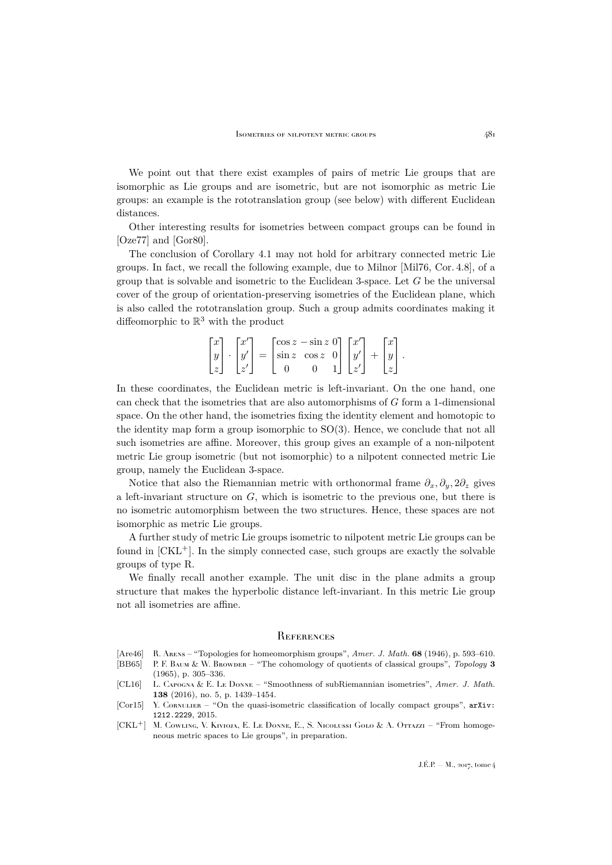We point out that there exist examples of pairs of metric Lie groups that are isomorphic as Lie groups and are isometric, but are not isomorphic as metric Lie groups: an example is the rototranslation group (see below) with different Euclidean distances.

Other interesting results for isometries between compact groups can be found in [\[Oze77\]](#page-10-19) and [\[Gor80\]](#page-10-20).

The conclusion of Corollary [4.1](#page-8-1) may not hold for arbitrary connected metric Lie groups. In fact, we recall the following example, due to Milnor [\[Mil76,](#page-10-21) Cor. 4.8], of a group that is solvable and isometric to the Euclidean 3-space. Let  $G$  be the universal cover of the group of orientation-preserving isometries of the Euclidean plane, which is also called the rototranslation group. Such a group admits coordinates making it diffeomorphic to  $\mathbb{R}^3$  with the product

$$
\begin{bmatrix} x \\ y \\ z \end{bmatrix} \cdot \begin{bmatrix} x' \\ y' \\ z' \end{bmatrix} = \begin{bmatrix} \cos z - \sin z & 0 \\ \sin z & \cos z & 0 \\ 0 & 0 & 1 \end{bmatrix} \begin{bmatrix} x' \\ y' \\ z' \end{bmatrix} + \begin{bmatrix} x \\ y \\ z \end{bmatrix}.
$$

In these coordinates, the Euclidean metric is left-invariant. On the one hand, one can check that the isometries that are also automorphisms of G form a 1-dimensional space. On the other hand, the isometries fixing the identity element and homotopic to the identity map form a group isomorphic to  $SO(3)$ . Hence, we conclude that not all such isometries are affine. Moreover, this group gives an example of a non-nilpotent metric Lie group isometric (but not isomorphic) to a nilpotent connected metric Lie group, namely the Euclidean 3-space.

Notice that also the Riemannian metric with orthonormal frame  $\partial_x, \partial_y, 2\partial_z$  gives a left-invariant structure on  $G$ , which is isometric to the previous one, but there is no isometric automorphism between the two structures. Hence, these spaces are not isomorphic as metric Lie groups.

A further study of metric Lie groups isometric to nilpotent metric Lie groups can be found in  $[CKL^+]$  $[CKL^+]$ . In the simply connected case, such groups are exactly the solvable groups of type R.

We finally recall another example. The unit disc in the plane admits a group structure that makes the hyperbolic distance left-invariant. In this metric Lie group not all isometries are affine.

#### <span id="page-9-0"></span>**REFERENCES**

- <span id="page-9-3"></span>[Are46] R. Arens – "Topologies for homeomorphism groups", *Amer. J. Math.* **68** (1946), p. 593–610.
- <span id="page-9-4"></span>[BB65] P. F. Baum & W. Browder – "The cohomology of quotients of classical groups", *Topology* **3** (1965), p. 305–336.
- <span id="page-9-2"></span>[CL16] L. Capogna & E. Le Donne – "Smoothness of subRiemannian isometries", *Amer. J. Math.* **138** (2016), no. 5, p. 1439–1454.
- <span id="page-9-1"></span>[Cor15] Y. CORNULIER – "On the quasi-isometric classification of locally compact groups", [arXiv:](http://arxiv.org/abs/1212.2229) [1212.2229](http://arxiv.org/abs/1212.2229), 2015.
- <span id="page-9-5"></span>[CKL+] M. Cowling, V. Kivioja, E. Le Donne, E., S. Nicolussi Golo & A. Ottazzi – "From homogeneous metric spaces to Lie groups", in preparation.